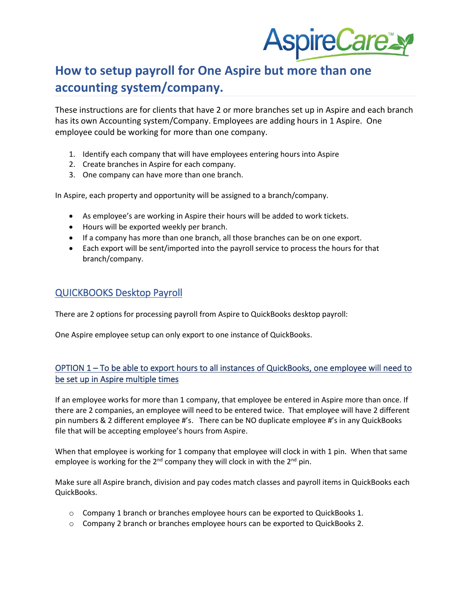

# **How to setup payroll for One Aspire but more than one accounting system/company.**

These instructions are for clients that have 2 or more branches set up in Aspire and each branch has its own Accounting system/Company. Employees are adding hours in 1 Aspire. One employee could be working for more than one company.

- 1. Identify each company that will have employees entering hours into Aspire
- 2. Create branches in Aspire for each company.
- 3. One company can have more than one branch.

In Aspire, each property and opportunity will be assigned to a branch/company.

- As employee's are working in Aspire their hours will be added to work tickets.
- Hours will be exported weekly per branch.
- If a company has more than one branch, all those branches can be on one export.
- Each export will be sent/imported into the payroll service to process the hours for that branch/company.

## QUICKBOOKS Desktop Payroll

There are 2 options for processing payroll from Aspire to QuickBooks desktop payroll:

One Aspire employee setup can only export to one instance of QuickBooks.

#### OPTION 1 – To be able to export hours to all instances of QuickBooks, one employee will need to be set up in Aspire multiple times

If an employee works for more than 1 company, that employee be entered in Aspire more than once. If there are 2 companies, an employee will need to be entered twice. That employee will have 2 different pin numbers & 2 different employee #'s. There can be NO duplicate employee #'s in any QuickBooks file that will be accepting employee's hours from Aspire.

When that employee is working for 1 company that employee will clock in with 1 pin. When that same employee is working for the  $2^{nd}$  company they will clock in with the  $2^{nd}$  pin.

Make sure all Aspire branch, division and pay codes match classes and payroll items in QuickBooks each QuickBooks.

- o Company 1 branch or branches employee hours can be exported to QuickBooks 1.
- o Company 2 branch or branches employee hours can be exported to QuickBooks 2.